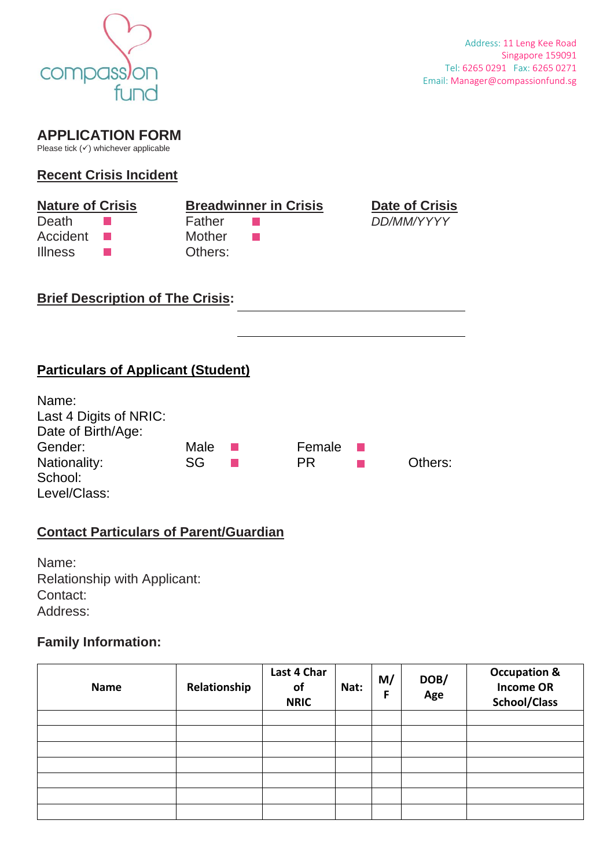

# **APPLICATION FORM**

Please tick  $($   $\checkmark$ ) whichever applicable

### **Recent Crisis Incident**

| <b>Nature of Crisis</b>  |         | <b>Date of Crisis</b>        |
|--------------------------|---------|------------------------------|
|                          | Father  | DD/MM/YYYY                   |
| <b>Contract Contract</b> | Mother  |                              |
|                          | Others: |                              |
|                          |         | <b>Breadwinner in Crisis</b> |

### **Brief Description of The Crisis:**



| Name:                  |      |      |           |         |
|------------------------|------|------|-----------|---------|
| Last 4 Digits of NRIC: |      |      |           |         |
| Date of Birth/Age:     |      |      |           |         |
| Gender:                | Male | a ka | Female    |         |
| Nationality:           | SG   |      | <b>PR</b> | Others: |
| School:                |      |      |           |         |
| Level/Class:           |      |      |           |         |

# **Contact Particulars of Parent/Guardian**

Name: Relationship with Applicant: Contact: Address:

## **Family Information:**

| <b>Name</b> | Relationship | Last 4 Char<br>of<br><b>NRIC</b> | Nat: | M/<br>F | DOB/<br>Age | <b>Occupation &amp;</b><br><b>Income OR</b><br><b>School/Class</b> |
|-------------|--------------|----------------------------------|------|---------|-------------|--------------------------------------------------------------------|
|             |              |                                  |      |         |             |                                                                    |
|             |              |                                  |      |         |             |                                                                    |
|             |              |                                  |      |         |             |                                                                    |
|             |              |                                  |      |         |             |                                                                    |